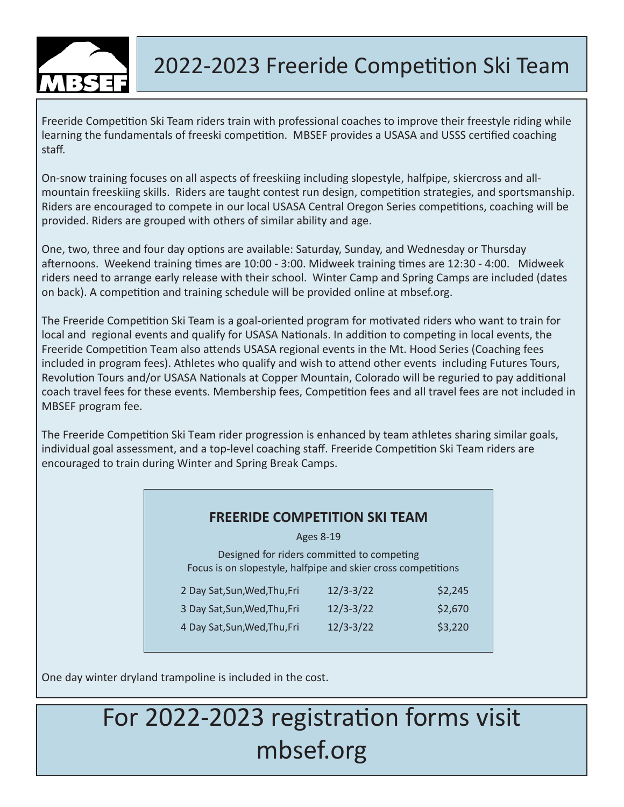

### 2022-2023 Freeride Competition Ski Team

Freeride Competition Ski Team riders train with professional coaches to improve their freestyle riding while learning the fundamentals of freeski competition. MBSEF provides a USASA and USSS certified coaching staff.

On-snow training focuses on all aspects of freeskiing including slopestyle, halfpipe, skiercross and allmountain freeskiing skills. Riders are taught contest run design, competition strategies, and sportsmanship. Riders are encouraged to compete in our local USASA Central Oregon Series competitions, coaching will be provided. Riders are grouped with others of similar ability and age.

One, two, three and four day options are available: Saturday, Sunday, and Wednesday or Thursday afternoons. Weekend training times are 10:00 - 3:00. Midweek training times are 12:30 - 4:00. Midweek riders need to arrange early release with their school. Winter Camp and Spring Camps are included (dates on back). A competition and training schedule will be provided online at mbsef.org.

The Freeride Competition Ski Team is a goal-oriented program for motivated riders who want to train for local and regional events and qualify for USASA Nationals. In addition to competing in local events, the Freeride Competition Team also attends USASA regional events in the Mt. Hood Series (Coaching fees included in program fees). Athletes who qualify and wish to attend other events including Futures Tours, Revolution Tours and/or USASA Nationals at Copper Mountain, Colorado will be reguried to pay additional coach travel fees for these events. Membership fees, Competition fees and all travel fees are not included in MBSEF program fee.

The Freeride Competition Ski Team rider progression is enhanced by team athletes sharing similar goals, individual goal assessment, and a top-level coaching staff. Freeride Competition Ski Team riders are encouraged to train during Winter and Spring Break Camps.

#### **FREERIDE COMPETITION SKI TEAM**

Ages 8-19

Designed for riders committed to competing Focus is on slopestyle, halfpipe and skier cross competitions

| 2 Day Sat, Sun, Wed, Thu, Fri | $12/3 - 3/22$ | \$2,245 |
|-------------------------------|---------------|---------|
| 3 Day Sat, Sun, Wed, Thu, Fri | $12/3 - 3/22$ | \$2,670 |
| 4 Day Sat, Sun, Wed, Thu, Fri | $12/3 - 3/22$ | \$3,220 |

One day winter dryland trampoline is included in the cost.

## For 2022-2023 registration forms visit mbsef.org